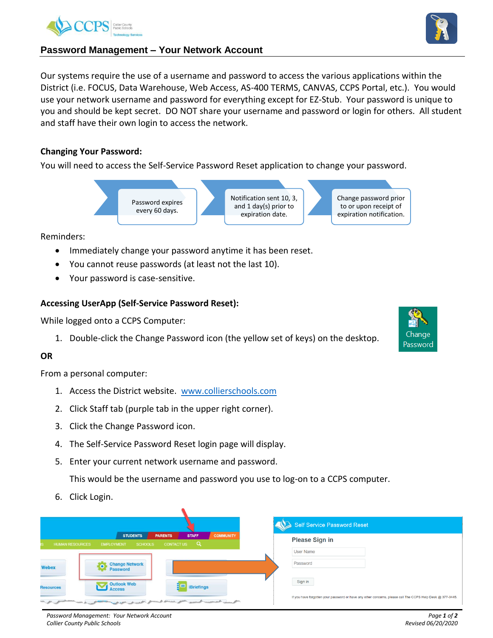

## **Password Management – Your Network Account**

Our systems require the use of a username and password to access the various applications within the District (i.e. FOCUS, Data Warehouse, Web Access, AS-400 TERMS, CANVAS, CCPS Portal, etc.). You would use your network username and password for everything except for EZ-Stub. Your password is unique to you and should be kept secret. DO NOT share your username and password or login for others. All student and staff have their own login to access the network.

## **Changing Your Password:**

You will need to access the Self-Service Password Reset application to change your password.



Reminders:

- Immediately change your password anytime it has been reset.
- You cannot reuse passwords (at least not the last 10).
- Your password is case-sensitive.

## **Accessing UserApp (Self-Service Password Reset):**

While logged onto a CCPS Computer:

1. Double-click the Change Password icon (the yellow set of keys) on the desktop.

## **OR**

From a personal computer:

- 1. Access the District website. [www.collierschools.com](http://www.collierschools.com/)
- 2. Click Staff tab (purple tab in the upper right corner).
- 3. Click the Change Password icon.
- 4. The Self-Service Password Reset login page will display.
- 5. Enter your current network username and password.

This would be the username and password you use to log-on to a CCPS computer.

6. Click Login.

|                        |                                                                                                                                               | Self Service Password Reset                                                                                |
|------------------------|-----------------------------------------------------------------------------------------------------------------------------------------------|------------------------------------------------------------------------------------------------------------|
| <b>HUMAN RESOURCES</b> | <b>STUDENTS</b><br><b>COMMUNITY</b><br><b>STAFF</b><br><b>PARENTS</b><br>$\alpha$<br><b>CONTACT US</b><br><b>SCHOOLS</b><br><b>EMPLOYMENT</b> | <b>Please Sign in</b>                                                                                      |
|                        |                                                                                                                                               | <b>User Name</b>                                                                                           |
| <b>Webex</b>           | <b>Change Network</b><br>Password                                                                                                             | Password                                                                                                   |
| <b>Resources</b>       | <b>Outlook Web</b><br>$\frac{1}{2}$ iBriefings<br><b>Access</b>                                                                               | Sign in                                                                                                    |
|                        | presented present patter<br>to not the contract of the contract of<br>manual companies manual                                                 | If you have forgotten your password or have any other concerns, please call The CCPS Help Desk @ 377-0445. |





*Password Management: Your Network Account Collier County Public Schools*